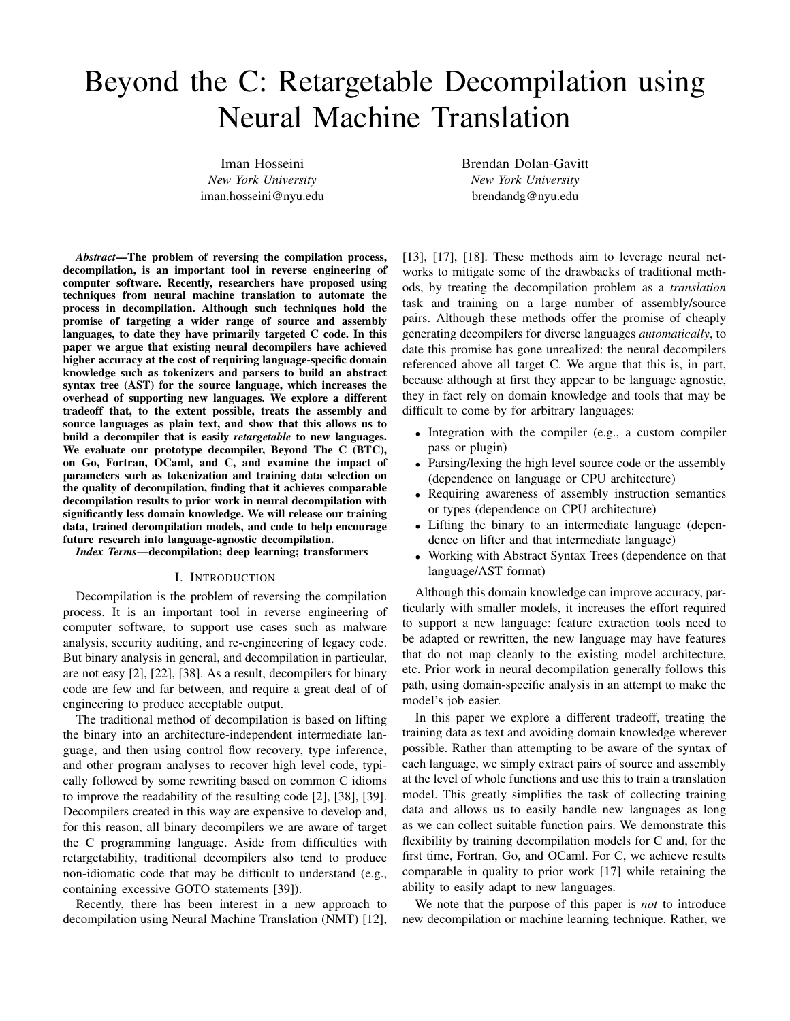# Beyond the C: Retargetable Decompilation using Neural Machine Translation

Iman Hosseini *New York University* iman.hosseini@nyu.edu Brendan Dolan-Gavitt *New York University* brendandg@nyu.edu

*Abstract*—The problem of reversing the compilation process, decompilation, is an important tool in reverse engineering of computer software. Recently, researchers have proposed using techniques from neural machine translation to automate the process in decompilation. Although such techniques hold the promise of targeting a wider range of source and assembly languages, to date they have primarily targeted C code. In this paper we argue that existing neural decompilers have achieved higher accuracy at the cost of requiring language-specific domain knowledge such as tokenizers and parsers to build an abstract syntax tree (AST) for the source language, which increases the overhead of supporting new languages. We explore a different tradeoff that, to the extent possible, treats the assembly and source languages as plain text, and show that this allows us to build a decompiler that is easily *retargetable* to new languages. We evaluate our prototype decompiler, Beyond The C (BTC), on Go, Fortran, OCaml, and C, and examine the impact of parameters such as tokenization and training data selection on the quality of decompilation, finding that it achieves comparable decompilation results to prior work in neural decompilation with significantly less domain knowledge. We will release our training data, trained decompilation models, and code to help encourage future research into language-agnostic decompilation.

*Index Terms*—decompilation; deep learning; transformers

## I. INTRODUCTION

Decompilation is the problem of reversing the compilation process. It is an important tool in reverse engineering of computer software, to support use cases such as malware analysis, security auditing, and re-engineering of legacy code. But binary analysis in general, and decompilation in particular, are not easy [2], [22], [38]. As a result, decompilers for binary code are few and far between, and require a great deal of of engineering to produce acceptable output.

The traditional method of decompilation is based on lifting the binary into an architecture-independent intermediate language, and then using control flow recovery, type inference, and other program analyses to recover high level code, typically followed by some rewriting based on common C idioms to improve the readability of the resulting code [2], [38], [39]. Decompilers created in this way are expensive to develop and, for this reason, all binary decompilers we are aware of target the C programming language. Aside from difficulties with retargetability, traditional decompilers also tend to produce non-idiomatic code that may be difficult to understand (e.g., containing excessive GOTO statements [39]).

Recently, there has been interest in a new approach to decompilation using Neural Machine Translation (NMT) [12], [13], [17], [18]. These methods aim to leverage neural networks to mitigate some of the drawbacks of traditional methods, by treating the decompilation problem as a *translation* task and training on a large number of assembly/source pairs. Although these methods offer the promise of cheaply generating decompilers for diverse languages *automatically*, to date this promise has gone unrealized: the neural decompilers referenced above all target C. We argue that this is, in part, because although at first they appear to be language agnostic, they in fact rely on domain knowledge and tools that may be difficult to come by for arbitrary languages:

- Integration with the compiler (e.g., a custom compiler pass or plugin)
- Parsing/lexing the high level source code or the assembly (dependence on language or CPU architecture)
- Requiring awareness of assembly instruction semantics or types (dependence on CPU architecture)
- Lifting the binary to an intermediate language (dependence on lifter and that intermediate language)
- Working with Abstract Syntax Trees (dependence on that language/AST format)

Although this domain knowledge can improve accuracy, particularly with smaller models, it increases the effort required to support a new language: feature extraction tools need to be adapted or rewritten, the new language may have features that do not map cleanly to the existing model architecture, etc. Prior work in neural decompilation generally follows this path, using domain-specific analysis in an attempt to make the model's job easier.

In this paper we explore a different tradeoff, treating the training data as text and avoiding domain knowledge wherever possible. Rather than attempting to be aware of the syntax of each language, we simply extract pairs of source and assembly at the level of whole functions and use this to train a translation model. This greatly simplifies the task of collecting training data and allows us to easily handle new languages as long as we can collect suitable function pairs. We demonstrate this flexibility by training decompilation models for C and, for the first time, Fortran, Go, and OCaml. For C, we achieve results comparable in quality to prior work [17] while retaining the ability to easily adapt to new languages.

We note that the purpose of this paper is *not* to introduce new decompilation or machine learning technique. Rather, we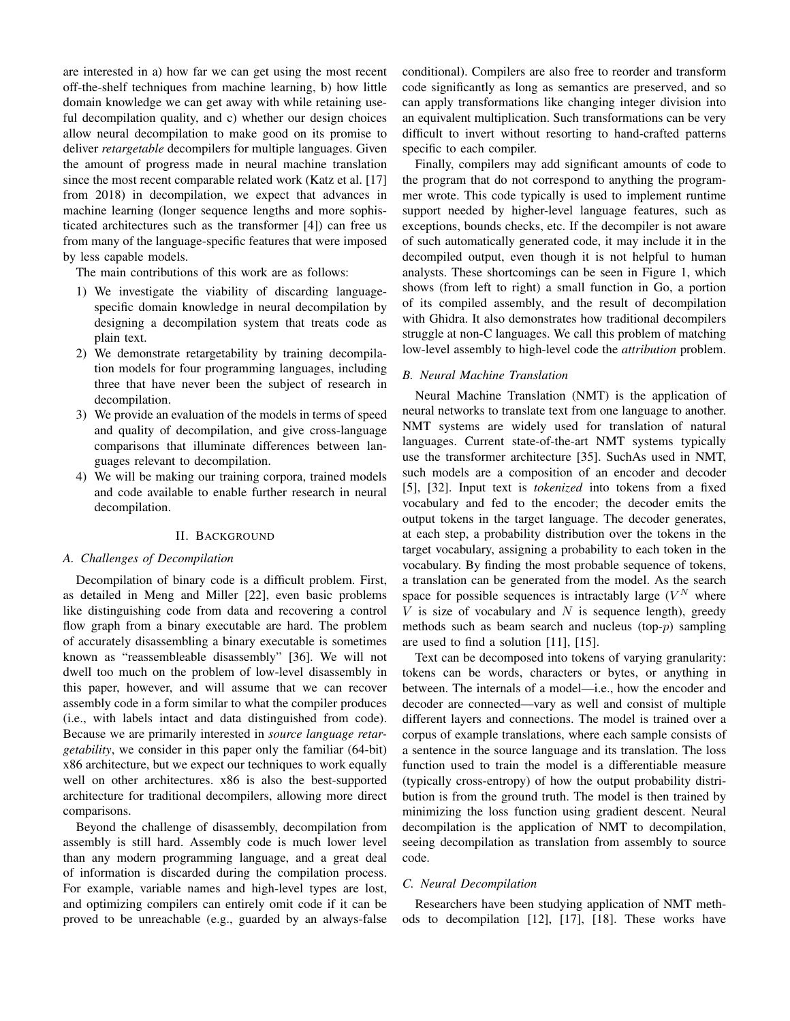are interested in a) how far we can get using the most recent off-the-shelf techniques from machine learning, b) how little domain knowledge we can get away with while retaining useful decompilation quality, and c) whether our design choices allow neural decompilation to make good on its promise to deliver *retargetable* decompilers for multiple languages. Given the amount of progress made in neural machine translation since the most recent comparable related work (Katz et al. [17] from 2018) in decompilation, we expect that advances in machine learning (longer sequence lengths and more sophisticated architectures such as the transformer [4]) can free us from many of the language-specific features that were imposed by less capable models.

The main contributions of this work are as follows:

- 1) We investigate the viability of discarding languagespecific domain knowledge in neural decompilation by designing a decompilation system that treats code as plain text.
- 2) We demonstrate retargetability by training decompilation models for four programming languages, including three that have never been the subject of research in decompilation.
- 3) We provide an evaluation of the models in terms of speed and quality of decompilation, and give cross-language comparisons that illuminate differences between languages relevant to decompilation.
- 4) We will be making our training corpora, trained models and code available to enable further research in neural decompilation.

## II. BACKGROUND

# *A. Challenges of Decompilation*

Decompilation of binary code is a difficult problem. First, as detailed in Meng and Miller [22], even basic problems like distinguishing code from data and recovering a control flow graph from a binary executable are hard. The problem of accurately disassembling a binary executable is sometimes known as "reassembleable disassembly" [36]. We will not dwell too much on the problem of low-level disassembly in this paper, however, and will assume that we can recover assembly code in a form similar to what the compiler produces (i.e., with labels intact and data distinguished from code). Because we are primarily interested in *source language retargetability*, we consider in this paper only the familiar (64-bit) x86 architecture, but we expect our techniques to work equally well on other architectures. x86 is also the best-supported architecture for traditional decompilers, allowing more direct comparisons.

Beyond the challenge of disassembly, decompilation from assembly is still hard. Assembly code is much lower level than any modern programming language, and a great deal of information is discarded during the compilation process. For example, variable names and high-level types are lost, and optimizing compilers can entirely omit code if it can be proved to be unreachable (e.g., guarded by an always-false conditional). Compilers are also free to reorder and transform code significantly as long as semantics are preserved, and so can apply transformations like changing integer division into an equivalent multiplication. Such transformations can be very difficult to invert without resorting to hand-crafted patterns specific to each compiler.

Finally, compilers may add significant amounts of code to the program that do not correspond to anything the programmer wrote. This code typically is used to implement runtime support needed by higher-level language features, such as exceptions, bounds checks, etc. If the decompiler is not aware of such automatically generated code, it may include it in the decompiled output, even though it is not helpful to human analysts. These shortcomings can be seen in Figure 1, which shows (from left to right) a small function in Go, a portion of its compiled assembly, and the result of decompilation with Ghidra. It also demonstrates how traditional decompilers struggle at non-C languages. We call this problem of matching low-level assembly to high-level code the *attribution* problem.

# *B. Neural Machine Translation*

Neural Machine Translation (NMT) is the application of neural networks to translate text from one language to another. NMT systems are widely used for translation of natural languages. Current state-of-the-art NMT systems typically use the transformer architecture [35]. SuchAs used in NMT, such models are a composition of an encoder and decoder [5], [32]. Input text is *tokenized* into tokens from a fixed vocabulary and fed to the encoder; the decoder emits the output tokens in the target language. The decoder generates, at each step, a probability distribution over the tokens in the target vocabulary, assigning a probability to each token in the vocabulary. By finding the most probable sequence of tokens, a translation can be generated from the model. As the search space for possible sequences is intractably large  $(V^N)$  where  $V$  is size of vocabulary and  $N$  is sequence length), greedy methods such as beam search and nucleus (top- $p$ ) sampling are used to find a solution [11], [15].

Text can be decomposed into tokens of varying granularity: tokens can be words, characters or bytes, or anything in between. The internals of a model—i.e., how the encoder and decoder are connected—vary as well and consist of multiple different layers and connections. The model is trained over a corpus of example translations, where each sample consists of a sentence in the source language and its translation. The loss function used to train the model is a differentiable measure (typically cross-entropy) of how the output probability distribution is from the ground truth. The model is then trained by minimizing the loss function using gradient descent. Neural decompilation is the application of NMT to decompilation, seeing decompilation as translation from assembly to source code.

## *C. Neural Decompilation*

Researchers have been studying application of NMT methods to decompilation [12], [17], [18]. These works have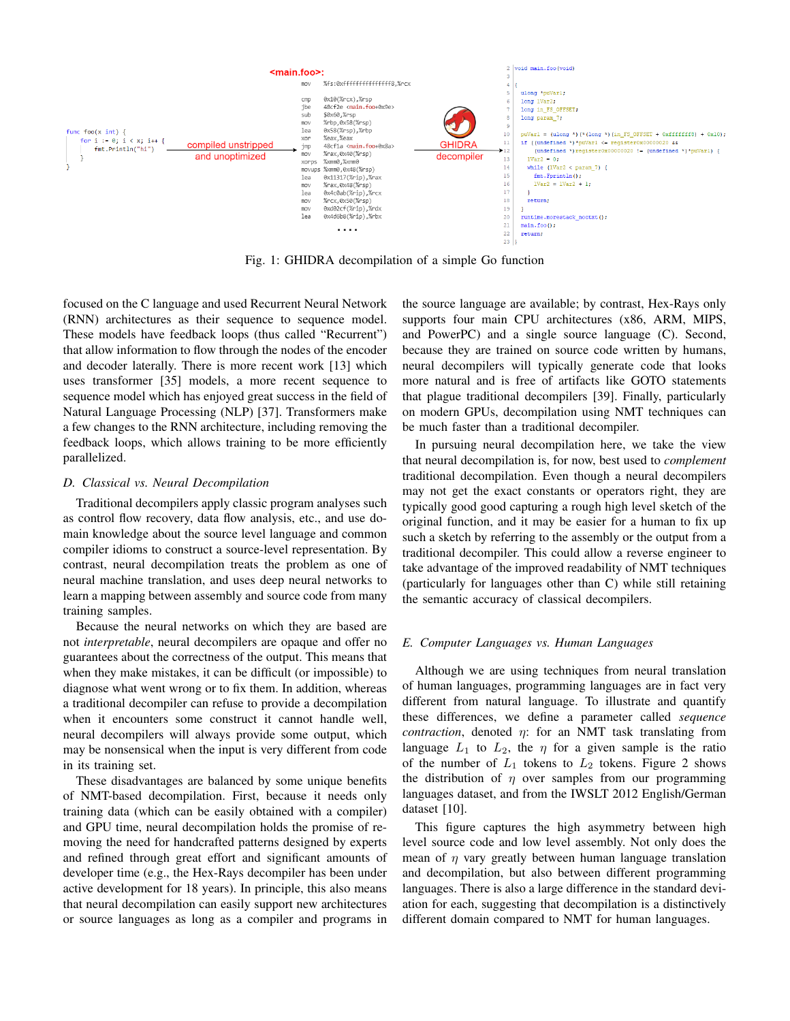

Fig. 1: GHIDRA decompilation of a simple Go function

focused on the C language and used Recurrent Neural Network (RNN) architectures as their sequence to sequence model. These models have feedback loops (thus called "Recurrent") that allow information to flow through the nodes of the encoder and decoder laterally. There is more recent work [13] which uses transformer [35] models, a more recent sequence to sequence model which has enjoyed great success in the field of Natural Language Processing (NLP) [37]. Transformers make a few changes to the RNN architecture, including removing the feedback loops, which allows training to be more efficiently parallelized.

# *D. Classical vs. Neural Decompilation*

Traditional decompilers apply classic program analyses such as control flow recovery, data flow analysis, etc., and use domain knowledge about the source level language and common compiler idioms to construct a source-level representation. By contrast, neural decompilation treats the problem as one of neural machine translation, and uses deep neural networks to learn a mapping between assembly and source code from many training samples.

Because the neural networks on which they are based are not *interpretable*, neural decompilers are opaque and offer no guarantees about the correctness of the output. This means that when they make mistakes, it can be difficult (or impossible) to diagnose what went wrong or to fix them. In addition, whereas a traditional decompiler can refuse to provide a decompilation when it encounters some construct it cannot handle well, neural decompilers will always provide some output, which may be nonsensical when the input is very different from code in its training set.

These disadvantages are balanced by some unique benefits of NMT-based decompilation. First, because it needs only training data (which can be easily obtained with a compiler) and GPU time, neural decompilation holds the promise of removing the need for handcrafted patterns designed by experts and refined through great effort and significant amounts of developer time (e.g., the Hex-Rays decompiler has been under active development for 18 years). In principle, this also means that neural decompilation can easily support new architectures or source languages as long as a compiler and programs in the source language are available; by contrast, Hex-Rays only supports four main CPU architectures (x86, ARM, MIPS, and PowerPC) and a single source language (C). Second, because they are trained on source code written by humans, neural decompilers will typically generate code that looks more natural and is free of artifacts like GOTO statements that plague traditional decompilers [39]. Finally, particularly on modern GPUs, decompilation using NMT techniques can be much faster than a traditional decompiler.

In pursuing neural decompilation here, we take the view that neural decompilation is, for now, best used to *complement* traditional decompilation. Even though a neural decompilers may not get the exact constants or operators right, they are typically good good capturing a rough high level sketch of the original function, and it may be easier for a human to fix up such a sketch by referring to the assembly or the output from a traditional decompiler. This could allow a reverse engineer to take advantage of the improved readability of NMT techniques (particularly for languages other than C) while still retaining the semantic accuracy of classical decompilers.

# *E. Computer Languages vs. Human Languages*

Although we are using techniques from neural translation of human languages, programming languages are in fact very different from natural language. To illustrate and quantify these differences, we define a parameter called *sequence contraction*, denoted η: for an NMT task translating from language  $L_1$  to  $L_2$ , the  $\eta$  for a given sample is the ratio of the number of  $L_1$  tokens to  $L_2$  tokens. Figure 2 shows the distribution of  $\eta$  over samples from our programming languages dataset, and from the IWSLT 2012 English/German dataset [10].

This figure captures the high asymmetry between high level source code and low level assembly. Not only does the mean of  $\eta$  vary greatly between human language translation and decompilation, but also between different programming languages. There is also a large difference in the standard deviation for each, suggesting that decompilation is a distinctively different domain compared to NMT for human languages.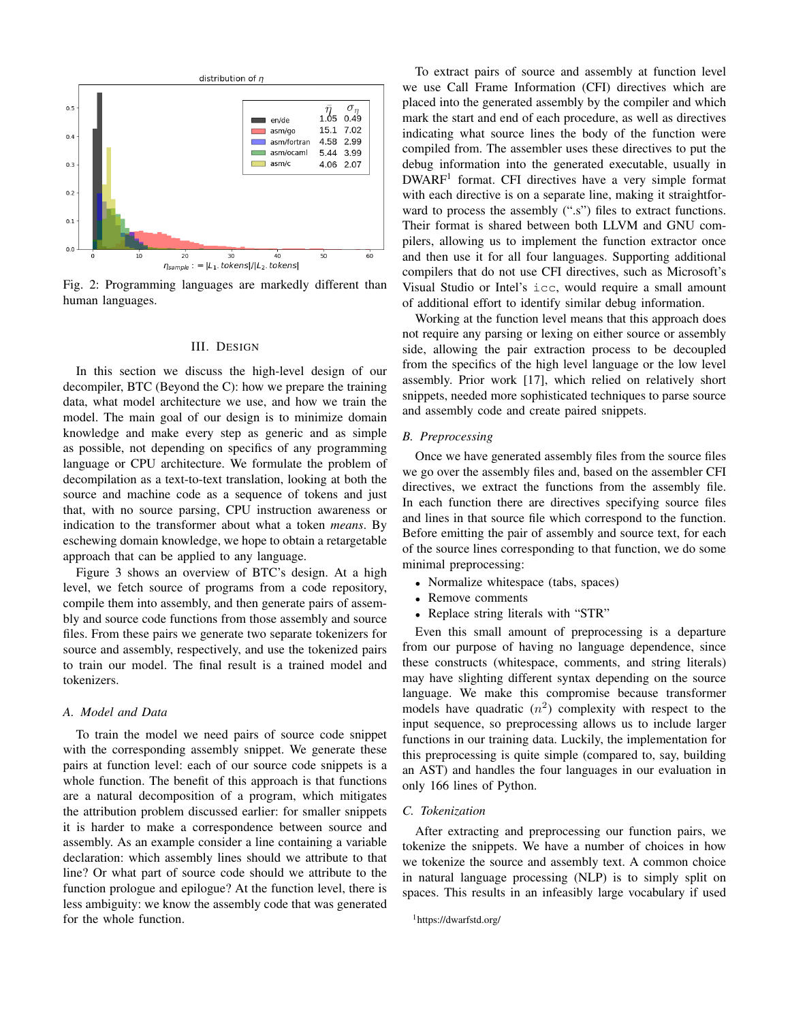

Fig. 2: Programming languages are markedly different than human languages.

## III. DESIGN

In this section we discuss the high-level design of our decompiler, BTC (Beyond the C): how we prepare the training data, what model architecture we use, and how we train the model. The main goal of our design is to minimize domain knowledge and make every step as generic and as simple as possible, not depending on specifics of any programming language or CPU architecture. We formulate the problem of decompilation as a text-to-text translation, looking at both the source and machine code as a sequence of tokens and just that, with no source parsing, CPU instruction awareness or indication to the transformer about what a token *means*. By eschewing domain knowledge, we hope to obtain a retargetable approach that can be applied to any language.

Figure 3 shows an overview of BTC's design. At a high level, we fetch source of programs from a code repository, compile them into assembly, and then generate pairs of assembly and source code functions from those assembly and source files. From these pairs we generate two separate tokenizers for source and assembly, respectively, and use the tokenized pairs to train our model. The final result is a trained model and tokenizers.

# *A. Model and Data*

To train the model we need pairs of source code snippet with the corresponding assembly snippet. We generate these pairs at function level: each of our source code snippets is a whole function. The benefit of this approach is that functions are a natural decomposition of a program, which mitigates the attribution problem discussed earlier: for smaller snippets it is harder to make a correspondence between source and assembly. As an example consider a line containing a variable declaration: which assembly lines should we attribute to that line? Or what part of source code should we attribute to the function prologue and epilogue? At the function level, there is less ambiguity: we know the assembly code that was generated for the whole function.

To extract pairs of source and assembly at function level we use Call Frame Information (CFI) directives which are placed into the generated assembly by the compiler and which mark the start and end of each procedure, as well as directives indicating what source lines the body of the function were compiled from. The assembler uses these directives to put the debug information into the generated executable, usually in DWARF<sup>1</sup> format. CFI directives have a very simple format with each directive is on a separate line, making it straightforward to process the assembly (".s") files to extract functions. Their format is shared between both LLVM and GNU compilers, allowing us to implement the function extractor once and then use it for all four languages. Supporting additional compilers that do not use CFI directives, such as Microsoft's Visual Studio or Intel's icc, would require a small amount of additional effort to identify similar debug information.

Working at the function level means that this approach does not require any parsing or lexing on either source or assembly side, allowing the pair extraction process to be decoupled from the specifics of the high level language or the low level assembly. Prior work [17], which relied on relatively short snippets, needed more sophisticated techniques to parse source and assembly code and create paired snippets.

## *B. Preprocessing*

Once we have generated assembly files from the source files we go over the assembly files and, based on the assembler CFI directives, we extract the functions from the assembly file. In each function there are directives specifying source files and lines in that source file which correspond to the function. Before emitting the pair of assembly and source text, for each of the source lines corresponding to that function, we do some minimal preprocessing:

- Normalize whitespace (tabs, spaces)
- Remove comments
- Replace string literals with "STR"

Even this small amount of preprocessing is a departure from our purpose of having no language dependence, since these constructs (whitespace, comments, and string literals) may have slighting different syntax depending on the source language. We make this compromise because transformer models have quadratic  $(n^2)$  complexity with respect to the input sequence, so preprocessing allows us to include larger functions in our training data. Luckily, the implementation for this preprocessing is quite simple (compared to, say, building an AST) and handles the four languages in our evaluation in only 166 lines of Python.

# *C. Tokenization*

After extracting and preprocessing our function pairs, we tokenize the snippets. We have a number of choices in how we tokenize the source and assembly text. A common choice in natural language processing (NLP) is to simply split on spaces. This results in an infeasibly large vocabulary if used

```
1https://dwarfstd.org/
```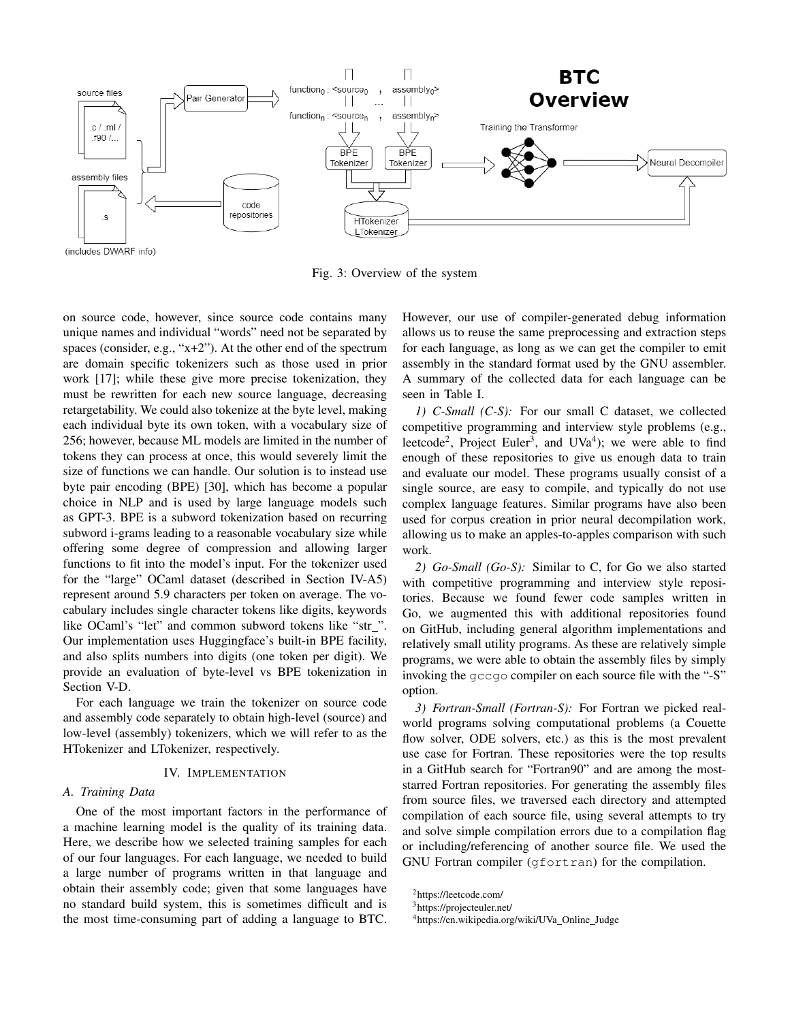

(includes DWARF info)

Fig. 3: Overview of the system

on source code, however, since source code contains many unique names and individual "words" need not be separated by spaces (consider, e.g., "x+2"). At the other end of the spectrum are domain specific tokenizers such as those used in prior work [17]; while these give more precise tokenization, they must be rewritten for each new source language, decreasing retargetability. We could also tokenize at the byte level, making each individual byte its own token, with a vocabulary size of 256; however, because ML models are limited in the number of tokens they can process at once, this would severely limit the size of functions we can handle. Our solution is to instead use byte pair encoding (BPE) [30], which has become a popular choice in NLP and is used by large language models such as GPT-3. BPE is a subword tokenization based on recurring subword i-grams leading to a reasonable vocabulary size while offering some degree of compression and allowing larger functions to fit into the model's input. For the tokenizer used for the "large" OCaml dataset (described in Section IV-A5) represent around 5.9 characters per token on average. The vocabulary includes single character tokens like digits, keywords like OCaml's "let" and common subword tokens like "str\_". Our implementation uses Huggingface's built-in BPE facility, and also splits numbers into digits (one token per digit). We provide an evaluation of byte-level vs BPE tokenization in Section V-D.

For each language we train the tokenizer on source code and assembly code separately to obtain high-level (source) and low-level (assembly) tokenizers, which we will refer to as the HTokenizer and LTokenizer, respectively.

# IV. IMPLEMENTATION

## *A. Training Data*

One of the most important factors in the performance of a machine learning model is the quality of its training data. Here, we describe how we selected training samples for each of our four languages. For each language, we needed to build a large number of programs written in that language and obtain their assembly code; given that some languages have no standard build system, this is sometimes difficult and is the most time-consuming part of adding a language to BTC.

However, our use of compiler-generated debug information allows us to reuse the same preprocessing and extraction steps for each language, as long as we can get the compiler to emit assembly in the standard format used by the GNU assembler. A summary of the collected data for each language can be seen in Table I.

*1) C-Small (C-S):* For our small C dataset, we collected competitive programming and interview style problems (e.g., leetcode<sup>2</sup>, Project Euler<sup>3</sup>, and UVa<sup>4</sup>); we were able to find enough of these repositories to give us enough data to train and evaluate our model. These programs usually consist of a single source, are easy to compile, and typically do not use complex language features. Similar programs have also been used for corpus creation in prior neural decompilation work, allowing us to make an apples-to-apples comparison with such work.

*2) Go-Small (Go-S):* Similar to C, for Go we also started with competitive programming and interview style repositories. Because we found fewer code samples written in Go, we augmented this with additional repositories found on GitHub, including general algorithm implementations and relatively small utility programs. As these are relatively simple programs, we were able to obtain the assembly files by simply invoking the gccgo compiler on each source file with the "-S" option.

*3) Fortran-Small (Fortran-S):* For Fortran we picked realworld programs solving computational problems (a Couette flow solver, ODE solvers, etc.) as this is the most prevalent use case for Fortran. These repositories were the top results in a GitHub search for "Fortran90" and are among the moststarred Fortran repositories. For generating the assembly files from source files, we traversed each directory and attempted compilation of each source file, using several attempts to try and solve simple compilation errors due to a compilation flag or including/referencing of another source file. We used the GNU Fortran compiler (gfortran) for the compilation.

<sup>2</sup>https://leetcode.com/

<sup>3</sup>https://projecteuler.net/

<sup>4</sup>https://en.wikipedia.org/wiki/UVa Online Judge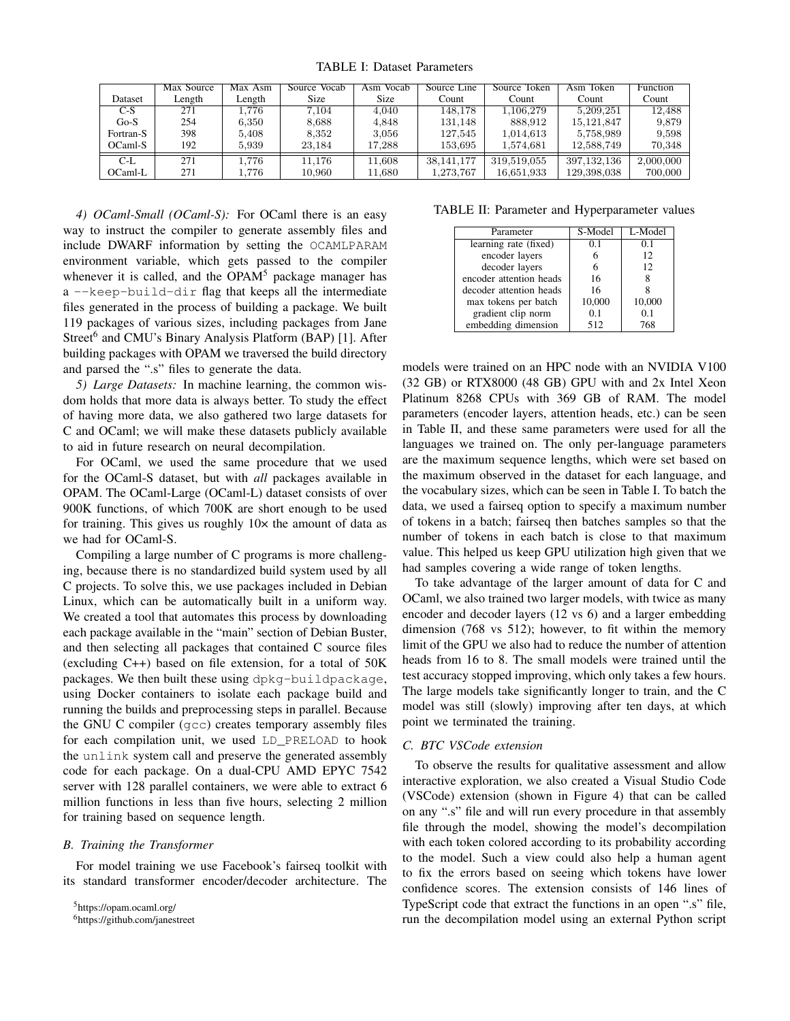TABLE I: Dataset Parameters

|           | Max Source | Max Asm | Source Vocab | Vocab<br>Asm | Source Line  | Source Token | Asm Token     | <b>Function</b> |
|-----------|------------|---------|--------------|--------------|--------------|--------------|---------------|-----------------|
| Dataset   | Length     | Length  | Size         | <b>Size</b>  | Count        | Count        | Count         | Count           |
| $C-S$     | 271        | 1.776   | 7,104        | 4.040        | 148,178      | 1.106.279    | 5.209.251     | 12.488          |
| $Go-S$    | 254        | 6.350   | 8,688        | 4.848        | 131,148      | 888.912      | 15, 121, 847  | 9,879           |
| Fortran-S | 398        | 5.408   | 8.352        | 3.056        | 127.545      | 1.014.613    | 5,758,989     | 9.598           |
| $OCam-S$  | 192        | 5.939   | 23.184       | 17.288       | 153,695      | 1.574.681    | 12,588,749    | 70.348          |
| C-L       | 271        | L.776   | 11.176       | 11.608       | 38, 141, 177 | 319.519.055  | 397, 132, 136 | 2,000,000       |
| OCaml-L   | 271        | L.776   | 10,960       | 11,680       | 1,273,767    | 16,651,933   | 129,398,038   | 700,000         |

*4) OCaml-Small (OCaml-S):* For OCaml there is an easy way to instruct the compiler to generate assembly files and include DWARF information by setting the OCAMLPARAM environment variable, which gets passed to the compiler whenever it is called, and the OPAM<sup>5</sup> package manager has a --keep-build-dir flag that keeps all the intermediate files generated in the process of building a package. We built 119 packages of various sizes, including packages from Jane Street<sup>6</sup> and CMU's Binary Analysis Platform (BAP) [1]. After building packages with OPAM we traversed the build directory and parsed the ".s" files to generate the data.

*5) Large Datasets:* In machine learning, the common wisdom holds that more data is always better. To study the effect of having more data, we also gathered two large datasets for C and OCaml; we will make these datasets publicly available to aid in future research on neural decompilation.

For OCaml, we used the same procedure that we used for the OCaml-S dataset, but with *all* packages available in OPAM. The OCaml-Large (OCaml-L) dataset consists of over 900K functions, of which 700K are short enough to be used for training. This gives us roughly  $10\times$  the amount of data as we had for OCaml-S.

Compiling a large number of C programs is more challenging, because there is no standardized build system used by all C projects. To solve this, we use packages included in Debian Linux, which can be automatically built in a uniform way. We created a tool that automates this process by downloading each package available in the "main" section of Debian Buster, and then selecting all packages that contained C source files (excluding C++) based on file extension, for a total of 50K packages. We then built these using dpkg-buildpackage, using Docker containers to isolate each package build and running the builds and preprocessing steps in parallel. Because the GNU C compiler (gcc) creates temporary assembly files for each compilation unit, we used LD\_PRELOAD to hook the unlink system call and preserve the generated assembly code for each package. On a dual-CPU AMD EPYC 7542 server with 128 parallel containers, we were able to extract 6 million functions in less than five hours, selecting 2 million for training based on sequence length.

# *B. Training the Transformer*

For model training we use Facebook's fairseq toolkit with its standard transformer encoder/decoder architecture. The

TABLE II: Parameter and Hyperparameter values

| Parameter               | S-Model | L-Model |  |
|-------------------------|---------|---------|--|
| learning rate (fixed)   | 0.1     | 0.1     |  |
| encoder layers          |         | 12      |  |
| decoder layers          |         | 12      |  |
| encoder attention heads | 16      |         |  |
| decoder attention heads | 16      |         |  |
| max tokens per batch    | 10,000  | 10,000  |  |
| gradient clip norm      | 0.1     | 0.1     |  |
| embedding dimension     | 512     | 768     |  |

models were trained on an HPC node with an NVIDIA V100 (32 GB) or RTX8000 (48 GB) GPU with and 2x Intel Xeon Platinum 8268 CPUs with 369 GB of RAM. The model parameters (encoder layers, attention heads, etc.) can be seen in Table II, and these same parameters were used for all the languages we trained on. The only per-language parameters are the maximum sequence lengths, which were set based on the maximum observed in the dataset for each language, and the vocabulary sizes, which can be seen in Table I. To batch the data, we used a fairseq option to specify a maximum number of tokens in a batch; fairseq then batches samples so that the number of tokens in each batch is close to that maximum value. This helped us keep GPU utilization high given that we had samples covering a wide range of token lengths.

To take advantage of the larger amount of data for C and OCaml, we also trained two larger models, with twice as many encoder and decoder layers (12 vs 6) and a larger embedding dimension (768 vs 512); however, to fit within the memory limit of the GPU we also had to reduce the number of attention heads from 16 to 8. The small models were trained until the test accuracy stopped improving, which only takes a few hours. The large models take significantly longer to train, and the C model was still (slowly) improving after ten days, at which point we terminated the training.

# *C. BTC VSCode extension*

To observe the results for qualitative assessment and allow interactive exploration, we also created a Visual Studio Code (VSCode) extension (shown in Figure 4) that can be called on any ".s" file and will run every procedure in that assembly file through the model, showing the model's decompilation with each token colored according to its probability according to the model. Such a view could also help a human agent to fix the errors based on seeing which tokens have lower confidence scores. The extension consists of 146 lines of TypeScript code that extract the functions in an open ".s" file, run the decompilation model using an external Python script

<sup>5</sup>https://opam.ocaml.org/

<sup>6</sup>https://github.com/janestreet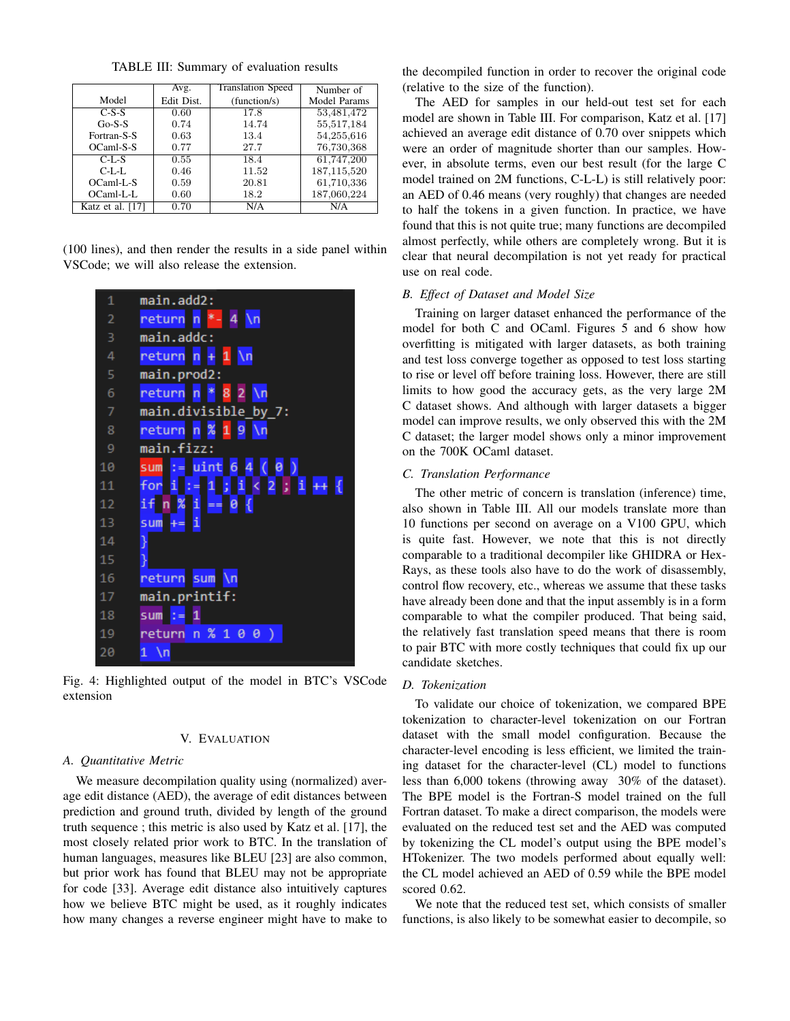TABLE III: Summary of evaluation results

|                  | Avg.       | <b>Translation Speed</b> | Number of    |
|------------------|------------|--------------------------|--------------|
| Model            | Edit Dist. | (function/s)             | Model Params |
| $C-S-S$          | 0.60       | 17.8                     | 53,481,472   |
| $Go-S-S$         | 0.74       | 14.74                    | 55,517,184   |
| Fortran-S-S      | 0.63       | 13.4                     | 54,255,616   |
| OCaml-S-S        | 0.77       | 27.7                     | 76,730,368   |
| $C-I-S$          | 0.55       | 18.4                     | 61,747,200   |
| $C-IzIz$         | 0.46       | 11.52                    | 187,115,520  |
| OCaml-L-S        | 0.59       | 20.81                    | 61,710,336   |
| OCaml-L-L        | 0.60       | 18.2                     | 187,060,224  |
| Katz et al. [17] | 0.70       | N/A                      | N/A          |

(100 lines), and then render the results in a side panel within VSCode; we will also release the extension.

| 1              | main.add2:                                    |
|----------------|-----------------------------------------------|
| 2              | $*-4 \n\ln$<br>return n                       |
| 3              | main.addc:                                    |
| 4              | return n + 1 \n                               |
| 5              | main.prod2:                                   |
| 6              | return n <mark>* 8</mark> 2<br>$\mathbb{N}$ n |
| $\overline{7}$ | main.divisible_by_7:                          |
| 8              | return n % 1 9 \n                             |
| 9              | main.fizz:                                    |
| 10             | sum := uint 6 4 (0)                           |
| 11             | for i := 1 ; i < 2 ; i ++ {                   |
| 12             | $if n % i = 0$                                |
| 13             | $sum +$<br>-i                                 |
| 14             | }                                             |
| 15             | ł                                             |
| 16             | sum<br>return<br>\n                           |
| 17             | main.printif:                                 |
| 18             | sum $:= 1$                                    |
| 19             | $\chi$<br>return<br>1<br>0<br>0<br>n<br>∋     |
| 20             | 1<br>-\n                                      |

Fig. 4: Highlighted output of the model in BTC's VSCode extension

## V. EVALUATION

## *A. Quantitative Metric*

We measure decompilation quality using (normalized) average edit distance (AED), the average of edit distances between prediction and ground truth, divided by length of the ground truth sequence ; this metric is also used by Katz et al. [17], the most closely related prior work to BTC. In the translation of human languages, measures like BLEU [23] are also common, but prior work has found that BLEU may not be appropriate for code [33]. Average edit distance also intuitively captures how we believe BTC might be used, as it roughly indicates how many changes a reverse engineer might have to make to

the decompiled function in order to recover the original code (relative to the size of the function).

The AED for samples in our held-out test set for each model are shown in Table III. For comparison, Katz et al. [17] achieved an average edit distance of 0.70 over snippets which were an order of magnitude shorter than our samples. However, in absolute terms, even our best result (for the large C model trained on 2M functions, C-L-L) is still relatively poor: an AED of 0.46 means (very roughly) that changes are needed to half the tokens in a given function. In practice, we have found that this is not quite true; many functions are decompiled almost perfectly, while others are completely wrong. But it is clear that neural decompilation is not yet ready for practical use on real code.

# *B. Effect of Dataset and Model Size*

Training on larger dataset enhanced the performance of the model for both C and OCaml. Figures 5 and 6 show how overfitting is mitigated with larger datasets, as both training and test loss converge together as opposed to test loss starting to rise or level off before training loss. However, there are still limits to how good the accuracy gets, as the very large 2M C dataset shows. And although with larger datasets a bigger model can improve results, we only observed this with the 2M C dataset; the larger model shows only a minor improvement on the 700K OCaml dataset.

# *C. Translation Performance*

The other metric of concern is translation (inference) time, also shown in Table III. All our models translate more than 10 functions per second on average on a V100 GPU, which is quite fast. However, we note that this is not directly comparable to a traditional decompiler like GHIDRA or Hex-Rays, as these tools also have to do the work of disassembly, control flow recovery, etc., whereas we assume that these tasks have already been done and that the input assembly is in a form comparable to what the compiler produced. That being said, the relatively fast translation speed means that there is room to pair BTC with more costly techniques that could fix up our candidate sketches.

## *D. Tokenization*

To validate our choice of tokenization, we compared BPE tokenization to character-level tokenization on our Fortran dataset with the small model configuration. Because the character-level encoding is less efficient, we limited the training dataset for the character-level (CL) model to functions less than 6,000 tokens (throwing away 30% of the dataset). The BPE model is the Fortran-S model trained on the full Fortran dataset. To make a direct comparison, the models were evaluated on the reduced test set and the AED was computed by tokenizing the CL model's output using the BPE model's HTokenizer. The two models performed about equally well: the CL model achieved an AED of 0.59 while the BPE model scored 0.62.

We note that the reduced test set, which consists of smaller functions, is also likely to be somewhat easier to decompile, so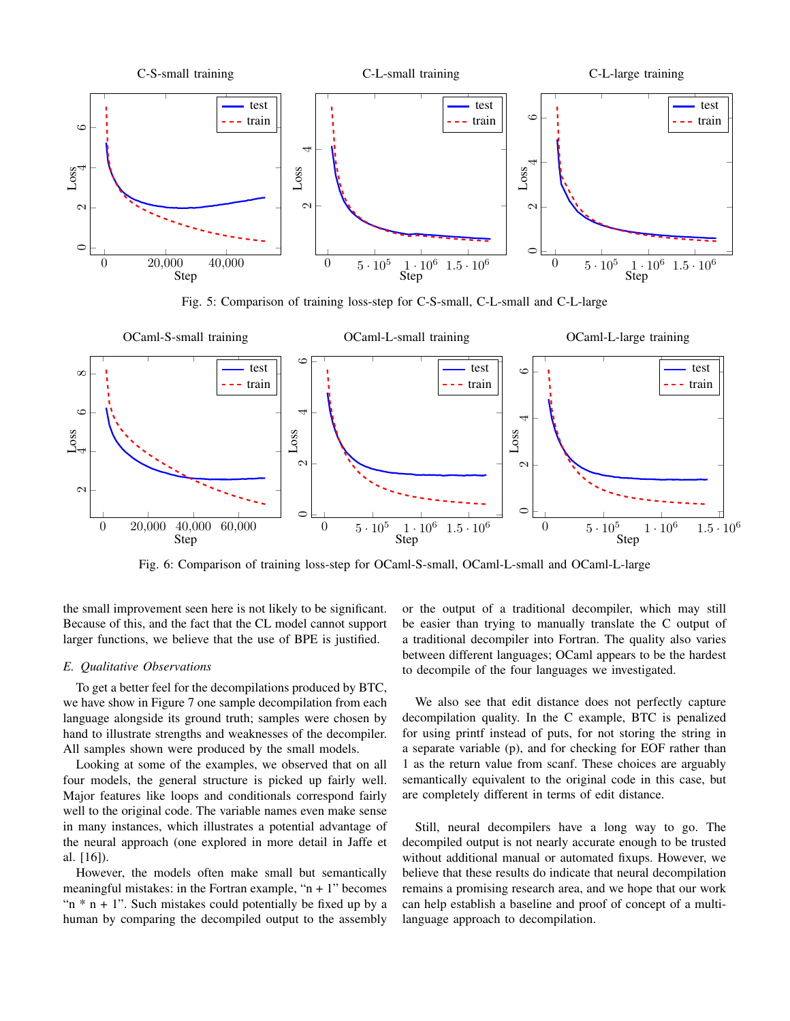

Fig. 5: Comparison of training loss-step for C-S-small, C-L-small and C-L-large



Fig. 6: Comparison of training loss-step for OCaml-S-small, OCaml-L-small and OCaml-L-large

the small improvement seen here is not likely to be significant. Because of this, and the fact that the CL model cannot support larger functions, we believe that the use of BPE is justified.

# *E. Qualitative Observations*

To get a better feel for the decompilations produced by BTC, we have show in Figure 7 one sample decompilation from each language alongside its ground truth; samples were chosen by hand to illustrate strengths and weaknesses of the decompiler. All samples shown were produced by the small models.

Looking at some of the examples, we observed that on all four models, the general structure is picked up fairly well. Major features like loops and conditionals correspond fairly well to the original code. The variable names even make sense in many instances, which illustrates a potential advantage of the neural approach (one explored in more detail in Jaffe et al. [16]).

However, the models often make small but semantically meaningful mistakes: in the Fortran example, " $n + 1$ " becomes " $n * n + 1$ ". Such mistakes could potentially be fixed up by a human by comparing the decompiled output to the assembly

or the output of a traditional decompiler, which may still be easier than trying to manually translate the C output of a traditional decompiler into Fortran. The quality also varies between different languages; OCaml appears to be the hardest to decompile of the four languages we investigated.

We also see that edit distance does not perfectly capture decompilation quality. In the C example, BTC is penalized for using printf instead of puts, for not storing the string in a separate variable (p), and for checking for EOF rather than 1 as the return value from scanf. These choices are arguably semantically equivalent to the original code in this case, but are completely different in terms of edit distance.

Still, neural decompilers have a long way to go. The decompiled output is not nearly accurate enough to be trusted without additional manual or automated fixups. However, we believe that these results do indicate that neural decompilation remains a promising research area, and we hope that our work can help establish a baseline and proof of concept of a multilanguage approach to decompilation.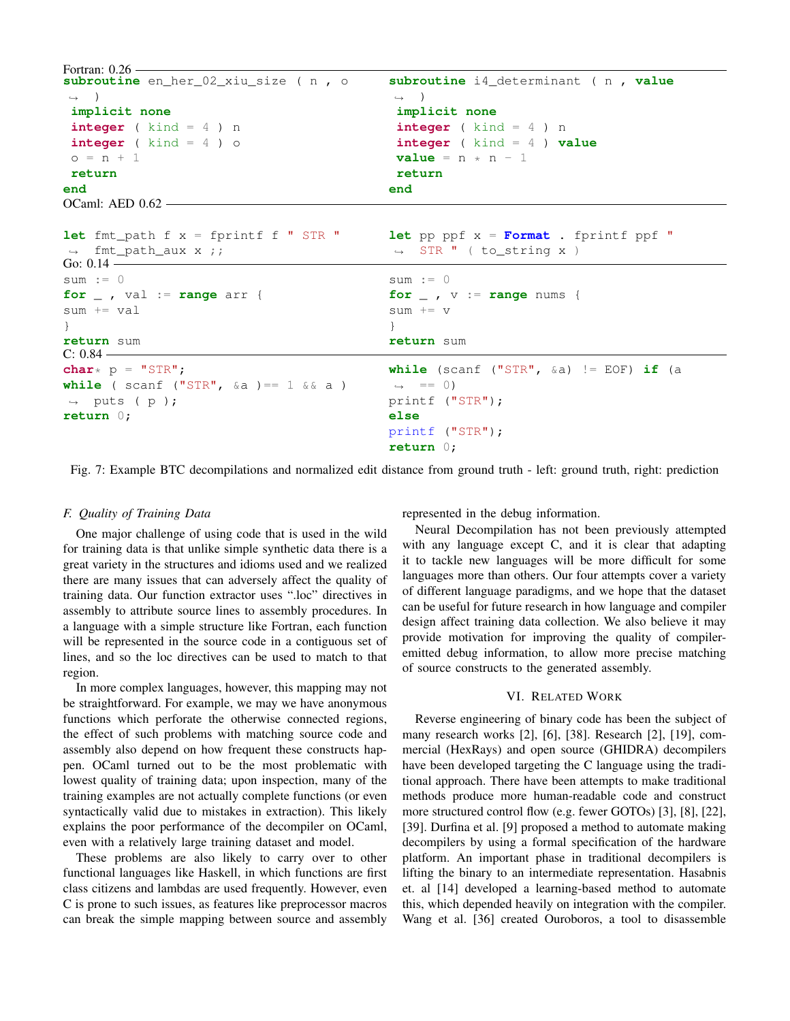Fortran: 0.26 subroutine en her 02 xiu size ( n , ,<sup>→</sup> ) **implicit none integer** ( kind = 4 ) n **integer** ( kind = 4 ) o  $o = n + 1$ **return end subroutine** i4\_determinant ( n , **value**  $\rightarrow$  ) **implicit none integer** ( kind = 4 ) n **integer** ( kind = 4 ) **value**  $value = n * n - 1$ **return end** OCaml: AED 0.62 **let** fmt\_path f x = fprintf f " STR "  $\rightarrow$  fmt path aux x ;; **let** pp ppf x = **Format** . fprintf ppf " ,<sup>→</sup> STR " ( to\_string x ) Go:  $0.14$ sum  $:= 0$ **for** \_ , val := **range** arr { sum += val } **return** sum  $sum := 0$ **for** \_ , v := **range** nums { sum += v } **return** sum  $C: 0.84$ char $*$  p =  $"STR"$ ; **while** ( scanf ("STR",  $\&a$  ) == 1  $\&b$  a )  $\rightarrow$  puts (p); **return** 0; **while** (scanf ("STR", &a) != EOF) **if** (a  $\leftrightarrow$  == 0) printf ("STR"); **else** printf ("STR"); **return** 0;

Fig. 7: Example BTC decompilations and normalized edit distance from ground truth - left: ground truth, right: prediction

## *F. Quality of Training Data*

One major challenge of using code that is used in the wild for training data is that unlike simple synthetic data there is a great variety in the structures and idioms used and we realized there are many issues that can adversely affect the quality of training data. Our function extractor uses ".loc" directives in assembly to attribute source lines to assembly procedures. In a language with a simple structure like Fortran, each function will be represented in the source code in a contiguous set of lines, and so the loc directives can be used to match to that region.

In more complex languages, however, this mapping may not be straightforward. For example, we may we have anonymous functions which perforate the otherwise connected regions, the effect of such problems with matching source code and assembly also depend on how frequent these constructs happen. OCaml turned out to be the most problematic with lowest quality of training data; upon inspection, many of the training examples are not actually complete functions (or even syntactically valid due to mistakes in extraction). This likely explains the poor performance of the decompiler on OCaml, even with a relatively large training dataset and model.

These problems are also likely to carry over to other functional languages like Haskell, in which functions are first class citizens and lambdas are used frequently. However, even C is prone to such issues, as features like preprocessor macros can break the simple mapping between source and assembly represented in the debug information.

Neural Decompilation has not been previously attempted with any language except C, and it is clear that adapting it to tackle new languages will be more difficult for some languages more than others. Our four attempts cover a variety of different language paradigms, and we hope that the dataset can be useful for future research in how language and compiler design affect training data collection. We also believe it may provide motivation for improving the quality of compileremitted debug information, to allow more precise matching of source constructs to the generated assembly.

## VI. RELATED WORK

Reverse engineering of binary code has been the subject of many research works [2], [6], [38]. Research [2], [19], commercial (HexRays) and open source (GHIDRA) decompilers have been developed targeting the C language using the traditional approach. There have been attempts to make traditional methods produce more human-readable code and construct more structured control flow (e.g. fewer GOTOs) [3], [8], [22], [39]. Durfina et al. [9] proposed a method to automate making decompilers by using a formal specification of the hardware platform. An important phase in traditional decompilers is lifting the binary to an intermediate representation. Hasabnis et. al [14] developed a learning-based method to automate this, which depended heavily on integration with the compiler. Wang et al. [36] created Ouroboros, a tool to disassemble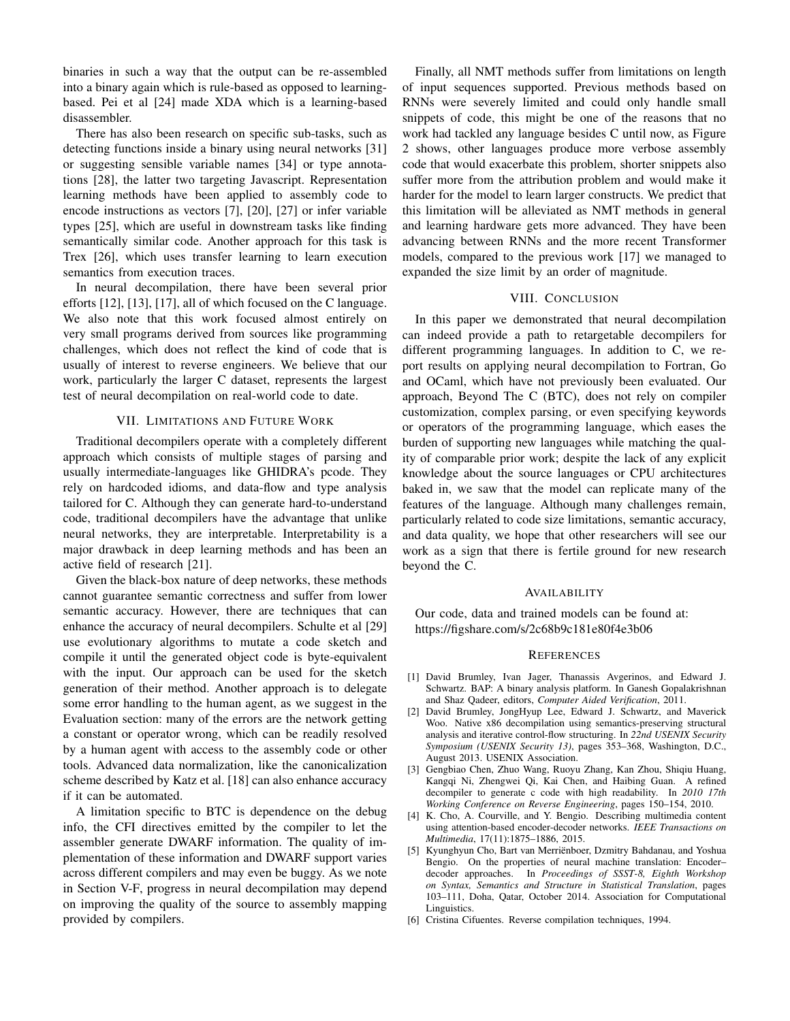binaries in such a way that the output can be re-assembled into a binary again which is rule-based as opposed to learningbased. Pei et al [24] made XDA which is a learning-based disassembler.

There has also been research on specific sub-tasks, such as detecting functions inside a binary using neural networks [31] or suggesting sensible variable names [34] or type annotations [28], the latter two targeting Javascript. Representation learning methods have been applied to assembly code to encode instructions as vectors [7], [20], [27] or infer variable types [25], which are useful in downstream tasks like finding semantically similar code. Another approach for this task is Trex [26], which uses transfer learning to learn execution semantics from execution traces.

In neural decompilation, there have been several prior efforts [12], [13], [17], all of which focused on the C language. We also note that this work focused almost entirely on very small programs derived from sources like programming challenges, which does not reflect the kind of code that is usually of interest to reverse engineers. We believe that our work, particularly the larger C dataset, represents the largest test of neural decompilation on real-world code to date.

## VII. LIMITATIONS AND FUTURE WORK

Traditional decompilers operate with a completely different approach which consists of multiple stages of parsing and usually intermediate-languages like GHIDRA's pcode. They rely on hardcoded idioms, and data-flow and type analysis tailored for C. Although they can generate hard-to-understand code, traditional decompilers have the advantage that unlike neural networks, they are interpretable. Interpretability is a major drawback in deep learning methods and has been an active field of research [21].

Given the black-box nature of deep networks, these methods cannot guarantee semantic correctness and suffer from lower semantic accuracy. However, there are techniques that can enhance the accuracy of neural decompilers. Schulte et al [29] use evolutionary algorithms to mutate a code sketch and compile it until the generated object code is byte-equivalent with the input. Our approach can be used for the sketch generation of their method. Another approach is to delegate some error handling to the human agent, as we suggest in the Evaluation section: many of the errors are the network getting a constant or operator wrong, which can be readily resolved by a human agent with access to the assembly code or other tools. Advanced data normalization, like the canonicalization scheme described by Katz et al. [18] can also enhance accuracy if it can be automated.

A limitation specific to BTC is dependence on the debug info, the CFI directives emitted by the compiler to let the assembler generate DWARF information. The quality of implementation of these information and DWARF support varies across different compilers and may even be buggy. As we note in Section V-F, progress in neural decompilation may depend on improving the quality of the source to assembly mapping provided by compilers.

Finally, all NMT methods suffer from limitations on length of input sequences supported. Previous methods based on RNNs were severely limited and could only handle small snippets of code, this might be one of the reasons that no work had tackled any language besides C until now, as Figure 2 shows, other languages produce more verbose assembly code that would exacerbate this problem, shorter snippets also suffer more from the attribution problem and would make it harder for the model to learn larger constructs. We predict that this limitation will be alleviated as NMT methods in general and learning hardware gets more advanced. They have been advancing between RNNs and the more recent Transformer models, compared to the previous work [17] we managed to expanded the size limit by an order of magnitude.

## VIII. CONCLUSION

In this paper we demonstrated that neural decompilation can indeed provide a path to retargetable decompilers for different programming languages. In addition to C, we report results on applying neural decompilation to Fortran, Go and OCaml, which have not previously been evaluated. Our approach, Beyond The C (BTC), does not rely on compiler customization, complex parsing, or even specifying keywords or operators of the programming language, which eases the burden of supporting new languages while matching the quality of comparable prior work; despite the lack of any explicit knowledge about the source languages or CPU architectures baked in, we saw that the model can replicate many of the features of the language. Although many challenges remain, particularly related to code size limitations, semantic accuracy, and data quality, we hope that other researchers will see our work as a sign that there is fertile ground for new research beyond the C.

## AVAILABILITY

Our code, data and trained models can be found at: https://figshare.com/s/2c68b9c181e80f4e3b06

#### **REFERENCES**

- [1] David Brumley, Ivan Jager, Thanassis Avgerinos, and Edward J. Schwartz. BAP: A binary analysis platform. In Ganesh Gopalakrishnan and Shaz Qadeer, editors, *Computer Aided Verification*, 2011.
- [2] David Brumley, JongHyup Lee, Edward J. Schwartz, and Maverick Woo. Native x86 decompilation using semantics-preserving structural analysis and iterative control-flow structuring. In *22nd USENIX Security Symposium (USENIX Security 13)*, pages 353–368, Washington, D.C., August 2013. USENIX Association.
- [3] Gengbiao Chen, Zhuo Wang, Ruoyu Zhang, Kan Zhou, Shiqiu Huang, Kangqi Ni, Zhengwei Qi, Kai Chen, and Haibing Guan. A refined decompiler to generate c code with high readability. In *2010 17th Working Conference on Reverse Engineering*, pages 150–154, 2010.
- [4] K. Cho, A. Courville, and Y. Bengio. Describing multimedia content using attention-based encoder-decoder networks. *IEEE Transactions on Multimedia*, 17(11):1875–1886, 2015.
- [5] Kyunghyun Cho, Bart van Merrienboer, Dzmitry Bahdanau, and Yoshua ¨ Bengio. On the properties of neural machine translation: Encoder– decoder approaches. In *Proceedings of SSST-8, Eighth Workshop on Syntax, Semantics and Structure in Statistical Translation*, pages 103–111, Doha, Qatar, October 2014. Association for Computational Linguistics.
- [6] Cristina Cifuentes. Reverse compilation techniques, 1994.